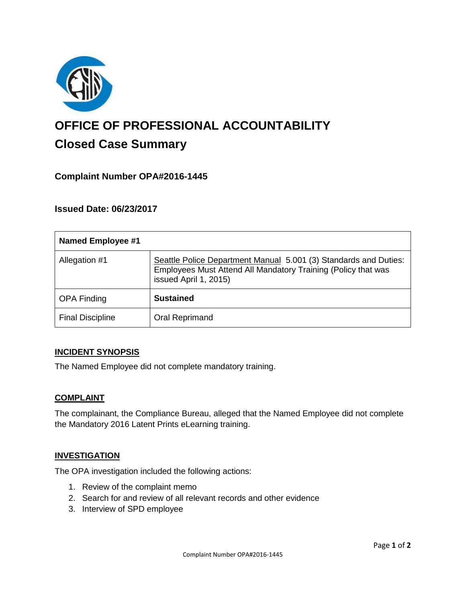

# **OFFICE OF PROFESSIONAL ACCOUNTABILITY Closed Case Summary**

## **Complaint Number OPA#2016-1445**

## **Issued Date: 06/23/2017**

| <b>Named Employee #1</b> |                                                                                                                                                            |
|--------------------------|------------------------------------------------------------------------------------------------------------------------------------------------------------|
| Allegation #1            | Seattle Police Department Manual 5.001 (3) Standards and Duties:<br>Employees Must Attend All Mandatory Training (Policy that was<br>issued April 1, 2015) |
| <b>OPA Finding</b>       | <b>Sustained</b>                                                                                                                                           |
| <b>Final Discipline</b>  | Oral Reprimand                                                                                                                                             |

#### **INCIDENT SYNOPSIS**

The Named Employee did not complete mandatory training.

#### **COMPLAINT**

The complainant, the Compliance Bureau, alleged that the Named Employee did not complete the Mandatory 2016 Latent Prints eLearning training.

#### **INVESTIGATION**

The OPA investigation included the following actions:

- 1. Review of the complaint memo
- 2. Search for and review of all relevant records and other evidence
- 3. Interview of SPD employee